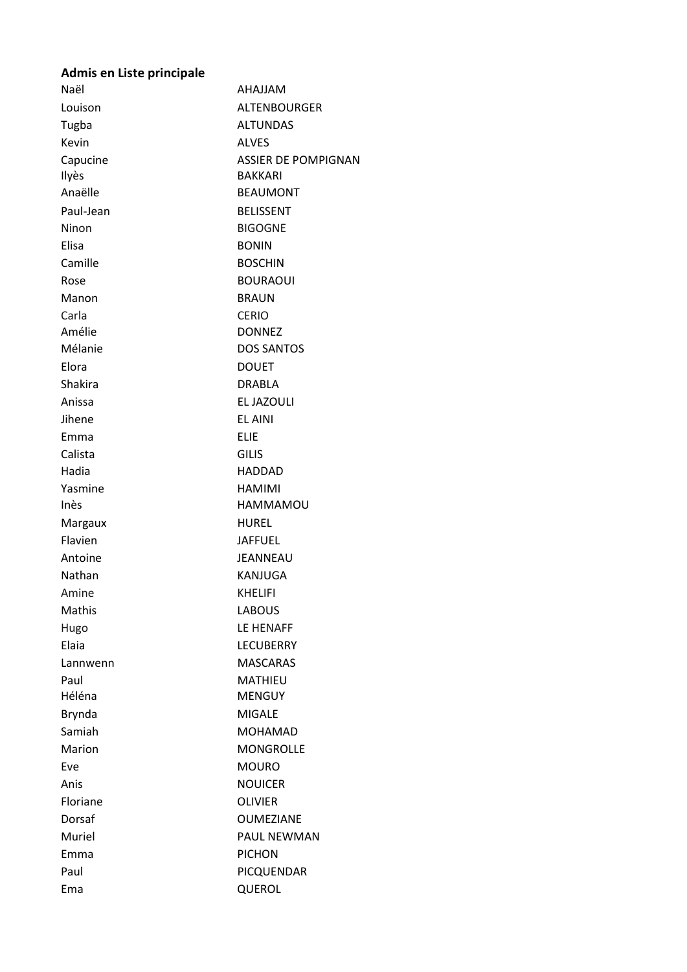## Admis en Liste principale

| Naël          | <b>AHAJJAM</b>             |
|---------------|----------------------------|
| Louison       | <b>ALTENBOURGER</b>        |
| Tugba         | <b>ALTUNDAS</b>            |
| Kevin         | <b>ALVES</b>               |
| Capucine      | <b>ASSIER DE POMPIGNAN</b> |
| Ilyès         | <b>BAKKARI</b>             |
| Anaëlle       | <b>BEAUMONT</b>            |
| Paul-Jean     | <b>BELISSENT</b>           |
| Ninon         | <b>BIGOGNE</b>             |
| Elisa         | <b>BONIN</b>               |
| Camille       | <b>BOSCHIN</b>             |
| Rose          | <b>BOURAOUI</b>            |
| Manon         | <b>BRAUN</b>               |
| Carla         | <b>CERIO</b>               |
| Amélie        | <b>DONNEZ</b>              |
| Mélanie       | <b>DOS SANTOS</b>          |
| Elora         | <b>DOUET</b>               |
| Shakira       | <b>DRABLA</b>              |
| Anissa        | EL JAZOULI                 |
| Jihene        | <b>EL AINI</b>             |
| Emma          | <b>ELIE</b>                |
| Calista       | <b>GILIS</b>               |
| Hadia         | <b>HADDAD</b>              |
| Yasmine       | <b>HAMIMI</b>              |
| Inès          | HAMMAMOU                   |
| Margaux       | <b>HUREL</b>               |
| Flavien       | <b>JAFFUEL</b>             |
| Antoine       | JEANNEAU                   |
| Nathan        | KANJUGA                    |
| Amine         | <b>KHELIFI</b>             |
| Mathis        | <b>LABOUS</b>              |
| Hugo          | LE HENAFF                  |
| Elaia         | <b>LECUBERRY</b>           |
| Lannwenn      | <b>MASCARAS</b>            |
| Paul          | MATHIEU                    |
| Héléna        | <b>MENGUY</b>              |
| <b>Brynda</b> | <b>MIGALE</b>              |
| Samiah        | <b>MOHAMAD</b>             |
| Marion        | <b>MONGROLLE</b>           |
| Eve           | <b>MOURO</b>               |
| Anis          | <b>NOUICER</b>             |
| Floriane      | <b>OLIVIER</b>             |
| Dorsaf        | <b>OUMEZIANE</b>           |
| Muriel        | <b>PAUL NEWMAN</b>         |
| Emma          | <b>PICHON</b>              |
| Paul          | PICQUENDAR                 |
| Ema           | <b>QUEROL</b>              |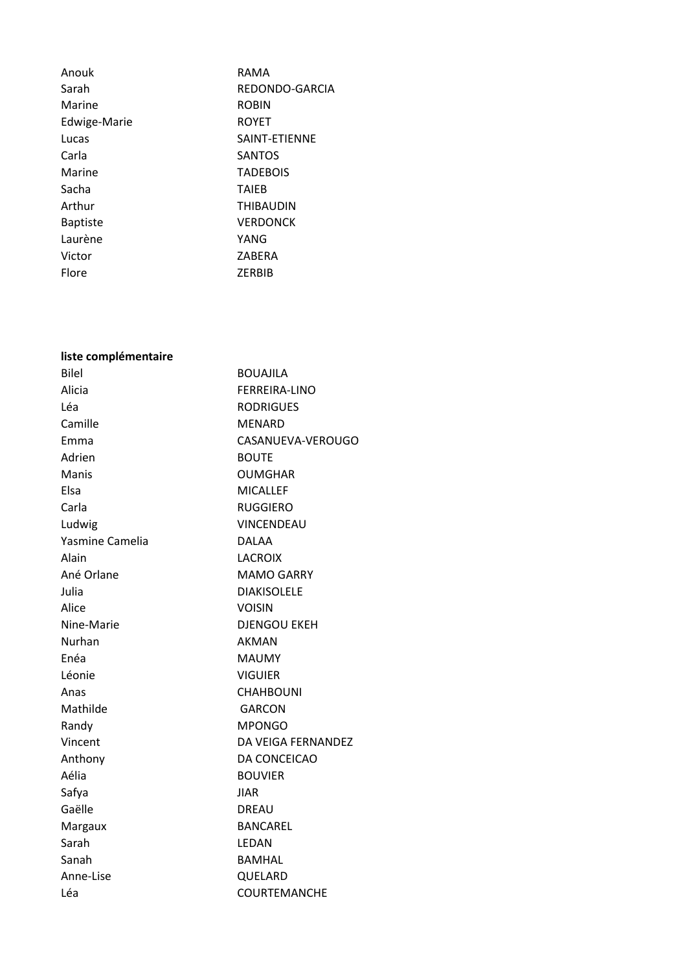| Anouk           | RAMA             |
|-----------------|------------------|
| Sarah           | REDONDO-GARCIA   |
| Marine          | <b>ROBIN</b>     |
| Edwige-Marie    | <b>ROYET</b>     |
| Lucas           | SAINT-FTIENNE    |
| Carla           | <b>SANTOS</b>    |
| Marine          | <b>TADEBOIS</b>  |
| Sacha           | <b>TAIFB</b>     |
| Arthur          | <b>THIBAUDIN</b> |
| <b>Baptiste</b> | <b>VERDONCK</b>  |
| Laurène         | YANG             |
| Victor          | ZABERA           |
| Flore           | <b>ZERBIB</b>    |

## liste complémentaire Bilel BOUAJILA Alicia FERREIRA-LINO Léa RODRIGUES Camille MENARD Emma CASANUEVA-VEROUGO Adrien BOUTE Manis OUMGHAR Elsa MICALLEF Carla RUGGIERO Ludwig **VINCENDEAU** Yasmine Camelia **DALAA** Alain LACROIX Ané Orlane MAMO GARRY Julia DIAKISOLELE Alice VOISIN Nine-Marie DJENGOU EKEH Nurhan AKMAN Enéa MAUMY Léonie VIGUIER Anas CHAHBOUNI Mathilde GARCON Randy MPONGO Vincent DA VEIGA FERNANDEZ Anthony DA CONCEICAO Aélia BOUVIER Safya JIAR Gaëlle DREAU Margaux BANCAREL Sarah LEDAN Sanah BAMHAL Anne-Lise QUELARD Léa COURTEMANCHE